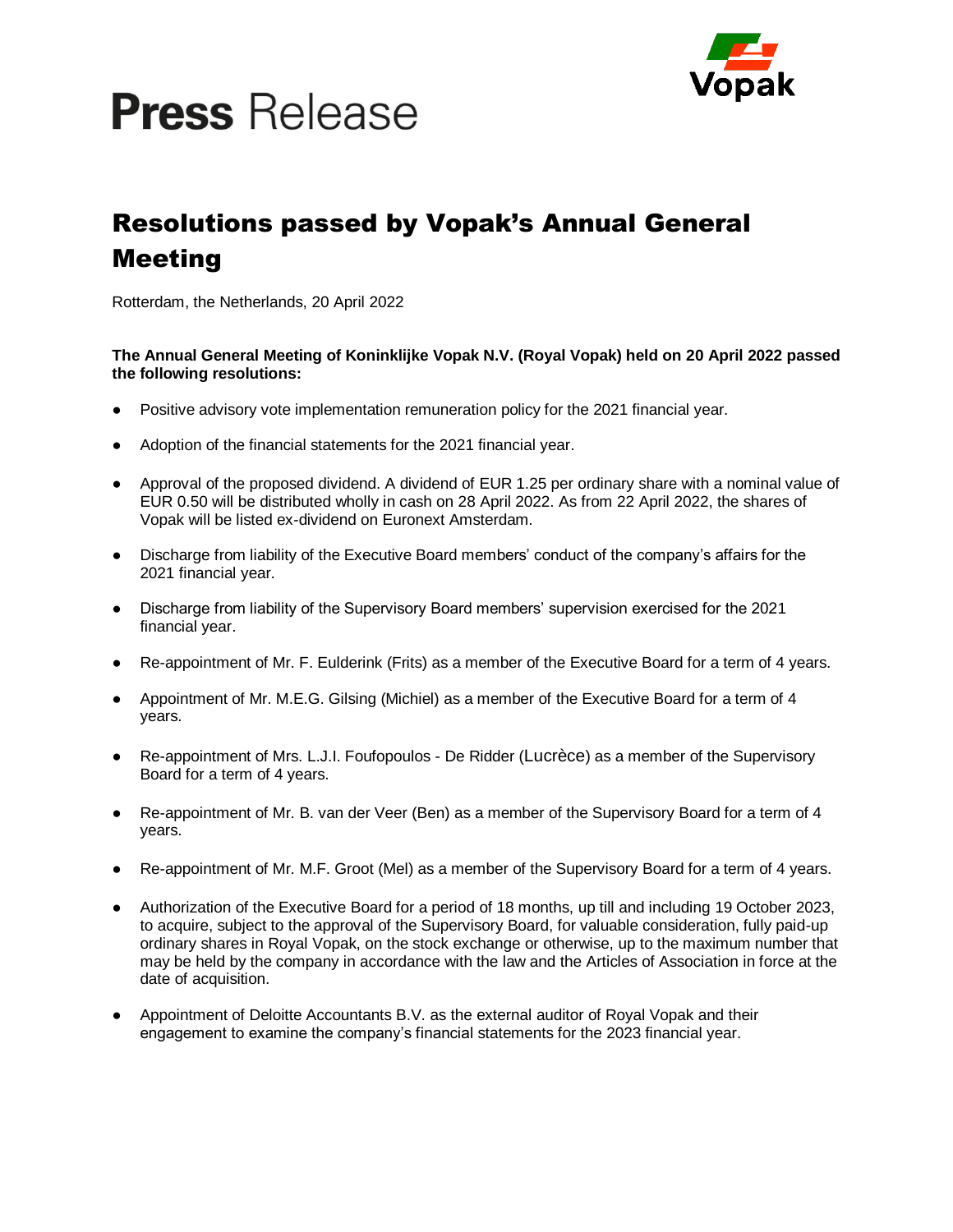# **Press** Release



# Resolutions passed by Vopak's Annual General Meeting

Rotterdam, the Netherlands, 20 April 2022

## **The Annual General Meeting of Koninklijke Vopak N.V. (Royal Vopak) held on 20 April 2022 passed the following resolutions:**

- Positive advisory vote implementation remuneration policy for the 2021 financial year.
- Adoption of the financial statements for the 2021 financial year.
- Approval of the proposed dividend. A dividend of EUR 1.25 per ordinary share with a nominal value of EUR 0.50 will be distributed wholly in cash on 28 April 2022. As from 22 April 2022, the shares of Vopak will be listed ex-dividend on Euronext Amsterdam.
- Discharge from liability of the Executive Board members' conduct of the company's affairs for the 2021 financial year.
- Discharge from liability of the Supervisory Board members' supervision exercised for the 2021 financial year.
- Re-appointment of Mr. F. Eulderink (Frits) as a member of the Executive Board for a term of 4 years.
- Appointment of Mr. M.E.G. Gilsing (Michiel) as a member of the Executive Board for a term of 4 years.
- Re-appointment of Mrs. L.J.I. Foufopoulos De Ridder (Lucrèce) as a member of the Supervisory Board for a term of 4 years.
- Re-appointment of Mr. B. van der Veer (Ben) as a member of the Supervisory Board for a term of 4 years.
- Re-appointment of Mr. M.F. Groot (Mel) as a member of the Supervisory Board for a term of 4 years.
- Authorization of the Executive Board for a period of 18 months, up till and including 19 October 2023, to acquire, subject to the approval of the Supervisory Board, for valuable consideration, fully paid-up ordinary shares in Royal Vopak, on the stock exchange or otherwise, up to the maximum number that may be held by the company in accordance with the law and the Articles of Association in force at the date of acquisition.
- Appointment of Deloitte Accountants B.V. as the external auditor of Royal Vopak and their engagement to examine the company's financial statements for the 2023 financial year.